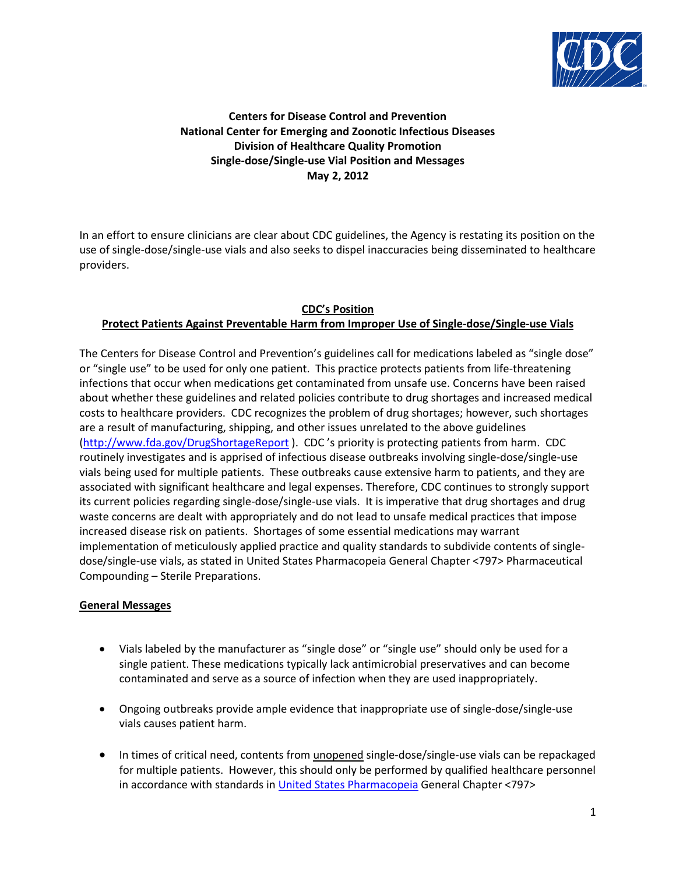

# **Centers for Disease Control and Prevention National Center for Emerging and Zoonotic Infectious Diseases Division of Healthcare Quality Promotion Single-dose/Single-use Vial Position and Messages May 2, 2012**

In an effort to ensure clinicians are clear about CDC guidelines, the Agency is restating its position on the use of single-dose/single-use vials and also seeks to dispel inaccuracies being disseminated to healthcare providers.

# **CDC's Position Protect Patients Against Preventable Harm from Improper Use of Single-dose/Single-use Vials**

The Centers for Disease Control and Prevention's guidelines call for medications labeled as "single dose" or "single use" to be used for only one patient. This practice protects patients from life-threatening infections that occur when medications get contaminated from unsafe use. Concerns have been raised about whether these guidelines and related policies contribute to drug shortages and increased medical costs to healthcare providers. CDC recognizes the problem of drug shortages; however, such shortages are a result of manufacturing, shipping, and other issues unrelated to the above guidelines [\(http://www.fda.gov/DrugShortageReport](http://www.fda.gov/DrugShortageReport) ). CDC 's priority is protecting patients from harm. CDC routinely investigates and is apprised of infectious disease outbreaks involving single-dose/single-use vials being used for multiple patients. These outbreaks cause extensive harm to patients, and they are associated with significant healthcare and legal expenses. Therefore, CDC continues to strongly support its current policies regarding single-dose/single-use vials. It is imperative that drug shortages and drug waste concerns are dealt with appropriately and do not lead to unsafe medical practices that impose increased disease risk on patients. Shortages of some essential medications may warrant implementation of meticulously applied practice and quality standards to subdivide contents of singledose/single-use vials, as stated in United States Pharmacopeia General Chapter <797> Pharmaceutical Compounding – Sterile Preparations.

# **General Messages**

- Vials labeled by the manufacturer as "single dose" or "single use" should only be used for a single patient. These medications typically lack antimicrobial preservatives and can become contaminated and serve as a source of infection when they are used inappropriately.
- Ongoing outbreaks provide ample evidence that inappropriate use of single-dose/single-use vials causes patient harm.
- In times of critical need, contents from unopened single-dose/single-use vials can be repackaged for multiple patients. However, this should only be performed by qualified healthcare personnel in accordance with standards in [United States Pharmacopeia](http://www.usp.org/) General Chapter <797>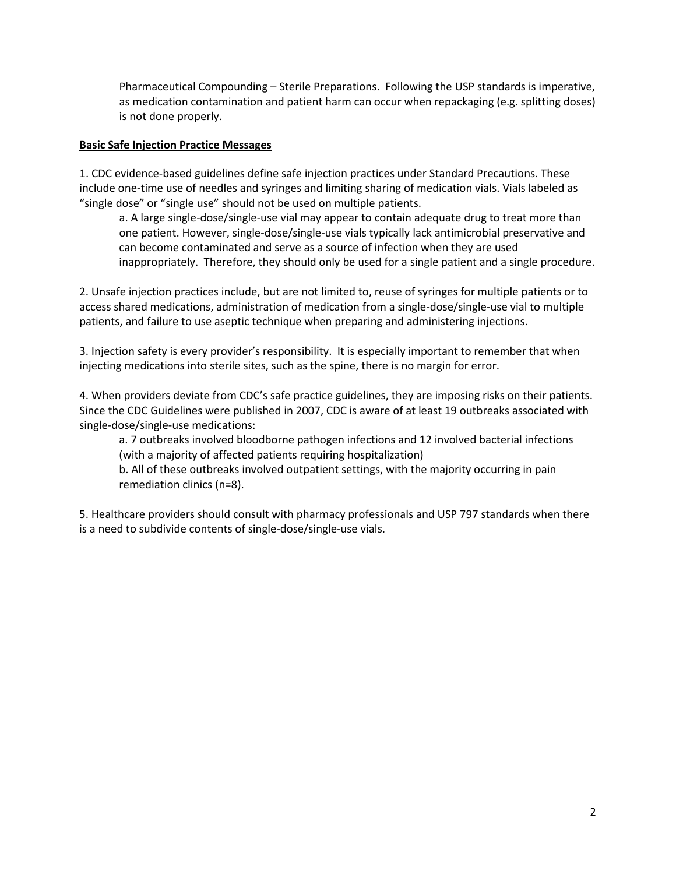Pharmaceutical Compounding – Sterile Preparations. Following the USP standards is imperative, as medication contamination and patient harm can occur when repackaging (e.g. splitting doses) is not done properly.

## **Basic Safe Injection Practice Messages**

1. CDC evidence-based guidelines define safe injection practices under Standard Precautions. These include one-time use of needles and syringes and limiting sharing of medication vials. Vials labeled as "single dose" or "single use" should not be used on multiple patients.

a. A large single-dose/single-use vial may appear to contain adequate drug to treat more than one patient. However, single-dose/single-use vials typically lack antimicrobial preservative and can become contaminated and serve as a source of infection when they are used inappropriately. Therefore, they should only be used for a single patient and a single procedure.

2. Unsafe injection practices include, but are not limited to, reuse of syringes for multiple patients or to access shared medications, administration of medication from a single-dose/single-use vial to multiple patients, and failure to use aseptic technique when preparing and administering injections.

3. Injection safety is every provider's responsibility. It is especially important to remember that when injecting medications into sterile sites, such as the spine, there is no margin for error.

4. When providers deviate from CDC's safe practice guidelines, they are imposing risks on their patients. Since the CDC Guidelines were published in 2007, CDC is aware of at least 19 outbreaks associated with single-dose/single-use medications:

a. 7 outbreaks involved bloodborne pathogen infections and 12 involved bacterial infections (with a majority of affected patients requiring hospitalization)

b. All of these outbreaks involved outpatient settings, with the majority occurring in pain remediation clinics (n=8).

5. Healthcare providers should consult with pharmacy professionals and USP 797 standards when there is a need to subdivide contents of single-dose/single-use vials.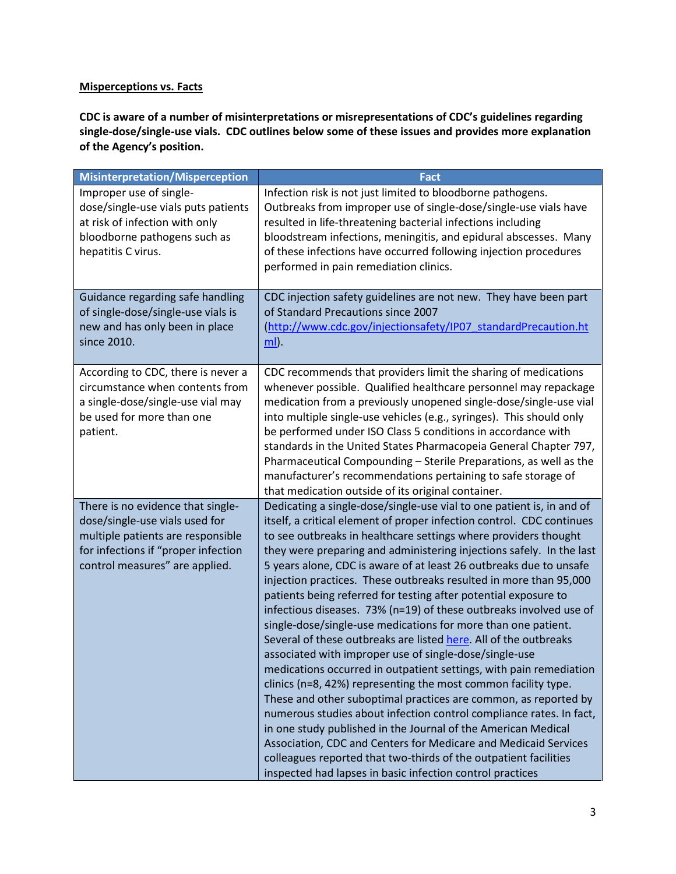# **Misperceptions vs. Facts**

**CDC is aware of a number of misinterpretations or misrepresentations of CDC's guidelines regarding single-dose/single-use vials. CDC outlines below some of these issues and provides more explanation of the Agency's position.**

| <b>Misinterpretation/Misperception</b>                                                                                                                                            | <b>Fact</b>                                                                                                                                                                                                                                                                                                                                                                                                                                                                                                                                                                                                                                                                                                                                                                                                                                                                                                                                                                                                                                                                                                                                                                                                                                                                                                                         |
|-----------------------------------------------------------------------------------------------------------------------------------------------------------------------------------|-------------------------------------------------------------------------------------------------------------------------------------------------------------------------------------------------------------------------------------------------------------------------------------------------------------------------------------------------------------------------------------------------------------------------------------------------------------------------------------------------------------------------------------------------------------------------------------------------------------------------------------------------------------------------------------------------------------------------------------------------------------------------------------------------------------------------------------------------------------------------------------------------------------------------------------------------------------------------------------------------------------------------------------------------------------------------------------------------------------------------------------------------------------------------------------------------------------------------------------------------------------------------------------------------------------------------------------|
| Improper use of single-<br>dose/single-use vials puts patients<br>at risk of infection with only<br>bloodborne pathogens such as<br>hepatitis C virus.                            | Infection risk is not just limited to bloodborne pathogens.<br>Outbreaks from improper use of single-dose/single-use vials have<br>resulted in life-threatening bacterial infections including<br>bloodstream infections, meningitis, and epidural abscesses. Many<br>of these infections have occurred following injection procedures<br>performed in pain remediation clinics.                                                                                                                                                                                                                                                                                                                                                                                                                                                                                                                                                                                                                                                                                                                                                                                                                                                                                                                                                    |
| Guidance regarding safe handling<br>of single-dose/single-use vials is<br>new and has only been in place<br>since 2010.                                                           | CDC injection safety guidelines are not new. They have been part<br>of Standard Precautions since 2007<br>(http://www.cdc.gov/injectionsafety/IP07_standardPrecaution.ht<br><u>ml</u> ).                                                                                                                                                                                                                                                                                                                                                                                                                                                                                                                                                                                                                                                                                                                                                                                                                                                                                                                                                                                                                                                                                                                                            |
| According to CDC, there is never a<br>circumstance when contents from<br>a single-dose/single-use vial may<br>be used for more than one<br>patient.                               | CDC recommends that providers limit the sharing of medications<br>whenever possible. Qualified healthcare personnel may repackage<br>medication from a previously unopened single-dose/single-use vial<br>into multiple single-use vehicles (e.g., syringes). This should only<br>be performed under ISO Class 5 conditions in accordance with<br>standards in the United States Pharmacopeia General Chapter 797,<br>Pharmaceutical Compounding - Sterile Preparations, as well as the<br>manufacturer's recommendations pertaining to safe storage of<br>that medication outside of its original container.                                                                                                                                                                                                                                                                                                                                                                                                                                                                                                                                                                                                                                                                                                                       |
| There is no evidence that single-<br>dose/single-use vials used for<br>multiple patients are responsible<br>for infections if "proper infection<br>control measures" are applied. | Dedicating a single-dose/single-use vial to one patient is, in and of<br>itself, a critical element of proper infection control. CDC continues<br>to see outbreaks in healthcare settings where providers thought<br>they were preparing and administering injections safely. In the last<br>5 years alone, CDC is aware of at least 26 outbreaks due to unsafe<br>injection practices. These outbreaks resulted in more than 95,000<br>patients being referred for testing after potential exposure to<br>infectious diseases. 73% (n=19) of these outbreaks involved use of<br>single-dose/single-use medications for more than one patient.<br>Several of these outbreaks are listed here. All of the outbreaks<br>associated with improper use of single-dose/single-use<br>medications occurred in outpatient settings, with pain remediation<br>clinics (n=8, 42%) representing the most common facility type.<br>These and other suboptimal practices are common, as reported by<br>numerous studies about infection control compliance rates. In fact,<br>in one study published in the Journal of the American Medical<br>Association, CDC and Centers for Medicare and Medicaid Services<br>colleagues reported that two-thirds of the outpatient facilities<br>inspected had lapses in basic infection control practices |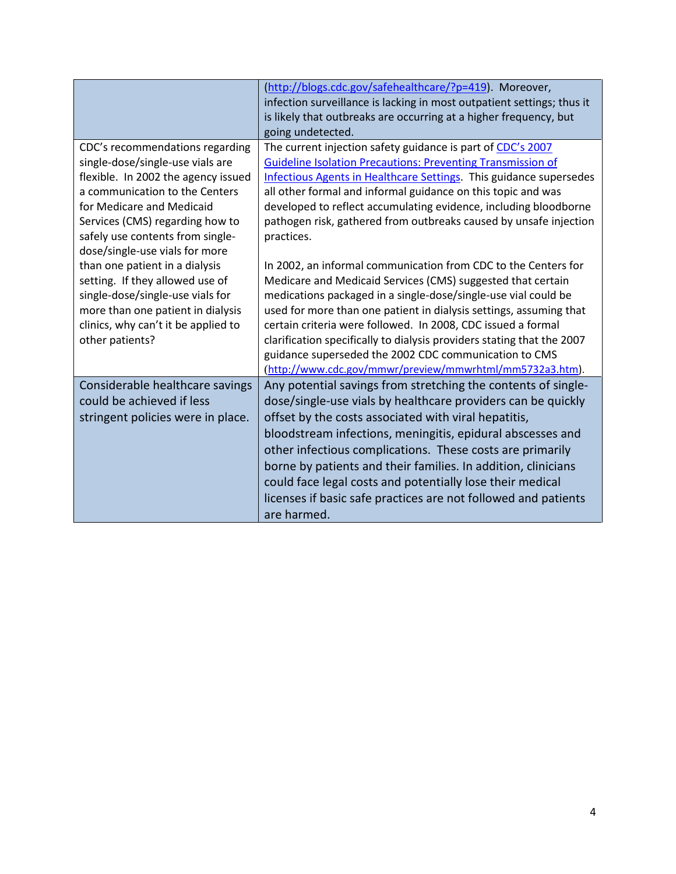|                                                                                                                                                                                                                                                                                    | (http://blogs.cdc.gov/safehealthcare/?p=419). Moreover,<br>infection surveillance is lacking in most outpatient settings; thus it<br>is likely that outbreaks are occurring at a higher frequency, but<br>going undetected.                                                                                                                                                                                                                                                                                                          |
|------------------------------------------------------------------------------------------------------------------------------------------------------------------------------------------------------------------------------------------------------------------------------------|--------------------------------------------------------------------------------------------------------------------------------------------------------------------------------------------------------------------------------------------------------------------------------------------------------------------------------------------------------------------------------------------------------------------------------------------------------------------------------------------------------------------------------------|
| CDC's recommendations regarding<br>single-dose/single-use vials are<br>flexible. In 2002 the agency issued<br>a communication to the Centers<br>for Medicare and Medicaid<br>Services (CMS) regarding how to<br>safely use contents from single-<br>dose/single-use vials for more | The current injection safety guidance is part of CDC's 2007<br><b>Guideline Isolation Precautions: Preventing Transmission of</b><br>Infectious Agents in Healthcare Settings. This guidance supersedes<br>all other formal and informal guidance on this topic and was<br>developed to reflect accumulating evidence, including bloodborne<br>pathogen risk, gathered from outbreaks caused by unsafe injection<br>practices.                                                                                                       |
| than one patient in a dialysis<br>setting. If they allowed use of<br>single-dose/single-use vials for<br>more than one patient in dialysis<br>clinics, why can't it be applied to<br>other patients?                                                                               | In 2002, an informal communication from CDC to the Centers for<br>Medicare and Medicaid Services (CMS) suggested that certain<br>medications packaged in a single-dose/single-use vial could be<br>used for more than one patient in dialysis settings, assuming that<br>certain criteria were followed. In 2008, CDC issued a formal<br>clarification specifically to dialysis providers stating that the 2007<br>guidance superseded the 2002 CDC communication to CMS<br>(http://www.cdc.gov/mmwr/preview/mmwrhtml/mm5732a3.htm). |
| Considerable healthcare savings<br>could be achieved if less<br>stringent policies were in place.                                                                                                                                                                                  | Any potential savings from stretching the contents of single-<br>dose/single-use vials by healthcare providers can be quickly<br>offset by the costs associated with viral hepatitis,<br>bloodstream infections, meningitis, epidural abscesses and<br>other infectious complications. These costs are primarily<br>borne by patients and their families. In addition, clinicians<br>could face legal costs and potentially lose their medical<br>licenses if basic safe practices are not followed and patients<br>are harmed.      |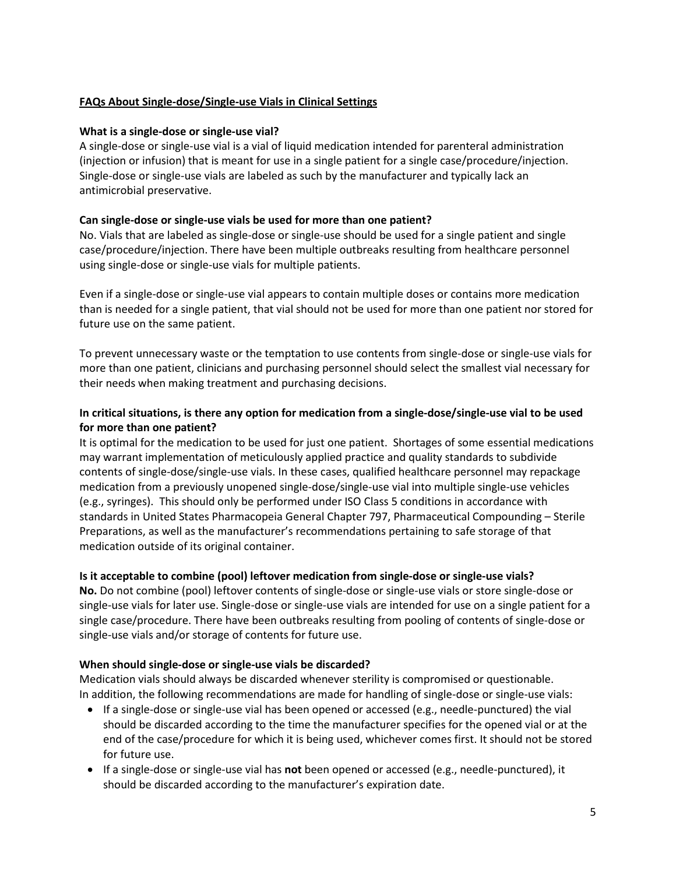## **FAQs About Single-dose/Single-use Vials in Clinical Settings**

#### **What is a single-dose or single-use vial?**

A single-dose or single-use vial is a vial of liquid medication intended for parenteral administration (injection or infusion) that is meant for use in a single patient for a single case/procedure/injection. Single-dose or single-use vials are labeled as such by the manufacturer and typically lack an antimicrobial preservative.

## **Can single-dose or single-use vials be used for more than one patient?**

No. Vials that are labeled as single-dose or single-use should be used for a single patient and single case/procedure/injection. There have been multiple outbreaks resulting from healthcare personnel using single-dose or single-use vials for multiple patients.

Even if a single-dose or single-use vial appears to contain multiple doses or contains more medication than is needed for a single patient, that vial should not be used for more than one patient nor stored for future use on the same patient.

To prevent unnecessary waste or the temptation to use contents from single-dose or single-use vials for more than one patient, clinicians and purchasing personnel should select the smallest vial necessary for their needs when making treatment and purchasing decisions.

## **In critical situations, is there any option for medication from a single-dose/single-use vial to be used for more than one patient?**

It is optimal for the medication to be used for just one patient. Shortages of some essential medications may warrant implementation of meticulously applied practice and quality standards to subdivide contents of single-dose/single-use vials. In these cases, qualified healthcare personnel may repackage medication from a previously unopened single-dose/single-use vial into multiple single-use vehicles (e.g., syringes). This should only be performed under ISO Class 5 conditions in accordance with standards in United States Pharmacopeia General Chapter 797, Pharmaceutical Compounding – Sterile Preparations, as well as the manufacturer's recommendations pertaining to safe storage of that medication outside of its original container.

## **Is it acceptable to combine (pool) leftover medication from single-dose or single-use vials?**

**No.** Do not combine (pool) leftover contents of single-dose or single-use vials or store single-dose or single-use vials for later use. Single-dose or single-use vials are intended for use on a single patient for a single case/procedure. There have been outbreaks resulting from pooling of contents of single-dose or single-use vials and/or storage of contents for future use.

## **When should single-dose or single-use vials be discarded?**

Medication vials should always be discarded whenever sterility is compromised or questionable. In addition, the following recommendations are made for handling of single-dose or single-use vials:

- If a single-dose or single-use vial has been opened or accessed (e.g., needle-punctured) the vial should be discarded according to the time the manufacturer specifies for the opened vial or at the end of the case/procedure for which it is being used, whichever comes first. It should not be stored for future use.
- If a single-dose or single-use vial has **not** been opened or accessed (e.g., needle-punctured), it should be discarded according to the manufacturer's expiration date.